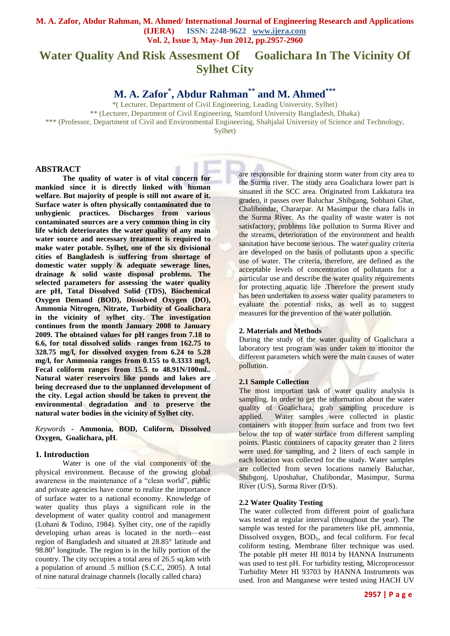# **Water Quality And Risk Assesment Of Goalichara In The Vicinity Of Sylhet City**

**M. A. Zafor\* , Abdur Rahman\*\* and M. Ahmed\*\*\***

\*( Lecturer, Department of Civil Engineering, Leading University, Sylhet) \*\* (Lecturer, Department of Civil Engineering, Stamford University Bangladesh, Dhaka) \*\*\* (Professor, Department of Civil and Environmental Engineering, Shahjalal University of Science and Technology,

Sylhet)

## **ABSTRACT**

**The quality of water is of vital concern for mankind since it is directly linked with human welfare. But majority of people is still not aware of it. Surface water is often physically contaminated due to unhygienic practices. Discharges from various contaminated sources are a very common thing in city life which deteriorates the water quality of any main water source and necessary treatment is required to make water potable. Sylhet, one of the six divisional cities of Bangladesh is suffering from shortage of domestic water supply & adequate sewerage lines, drainage & solid waste disposal problems. The selected parameters for assessing the water quality are pH, Total Dissolved Solid (TDS), Biochemical Oxygen Demand (BOD), Dissolved Oxygen (DO), Ammonia Nitrogen, Nitrate, Turbidity of Goalichara in the vicinity of sylhet city. The investigation continues from the month January 2008 to January 2009. The obtained values for pH ranges from 7.18 to 6.6, for total dissolved solids ranges from 162.75 to 328.75 mg/l, for dissolved oxygen from 6.24 to 5.28 mg/l, for Ammonia ranges from 0.155 to 0.3333 mg/l, Fecal coliform ranges from 15.5 to 48.91N/100ml.. Natural water reservoirs like ponds and lakes are being decreased due to the unplanned development of the city. Legal action should be taken to prevent the environmental degradation and to preserve the natural water bodies in the vicinity of Sylhet city.** 

*Keywords* **- Ammonia, BOD, Coliform, Dissolved Oxygen, Goalichara, pH**.

## **1. Introduction**

Water is one of the vial components of the physical environment. Because of the growing global awareness in the maintenance of a "clean world", public and private agencies have come to realize the importance of surface water to a national economy. Knowledge of water quality thus plays a significant role in the development of water quality control and management (Lohani & Todino, 1984). Sylhet city, one of the rapidly developing urban areas is located in the north—east region of Bangladesh and situated at 28.85° latitude and 98.80° longitude. The region is in the hilly portion of the country. The city occupies a total area of 26.5 sq.km with a population of around .5 million (S.C.C, 2005). A total of nine natural drainage channels (locally called chara)

are responsible for draining storm water from city area to the Surma river. The study area Goalichara lower part is situated in the SCC area. Originated from Lakkatura tea graden, it passes over Baluchar ,Shibgang, Sobhani Ghat, Chalibondar, Chararpar. At Masimpur the chara falls in the Surma River. As the quality of waste water is not satisfactory, problems like pollution to Surma River and the streams, deterioration of the environment and health sanitation have become serious. The water quality criteria are developed on the basis of pollutants upon a specific use of water. The criteria, therefore, are defined as the acceptable levels of concentration of pollutants for a particular use and describe the water quality requirements for protecting aquatic life .Therefore the present study has been undertaken to assess water quality parameters to evaluate the potential risks, as well as to suggest measures for the prevention of the water pollution.

## **2. Materials and Methods**

During the study of the water quality of Goalichara a laboratory test program was under taken to monitor the different parameters which were the main causes of water pollution.

## **2.1 Sample Collection**

The most important task of water quality analysis is sampling. In order to get the information about the water quality of Goalichara, grab sampling procedure is applied. Water samples were collected in plastic containers with stopper from surface and from two feet below the top of water surface from different sampling points. Plastic containers of capacity greater than 2 liters were used for sampling, and 2 liters of each sample in each location was collected for the study. Water samples are collected from seven locations namely Baluchar, Shibgonj, Uposhahar, Chalibondar, Masimpur, Surma River (U/S), Surma River (D/S).

## **2.2 Water Quality Testing**

The water collected from different point of goalichara was tested at regular interval (throughout the year). The sample was tested for the parameters like pH, ammonia, Dissolved oxygen,  $BOD<sub>5</sub>$ , and fecal coliform. For fecal coliform testing, Membrane filter technique was used. The potable pH meter HI 8014 by HANNA Instruments was used to test pH. For turbidity testing, Microprocessor Turbidity Meter HI 93703 by HANNA Instruments was used. Iron and Manganese were tested using HACH UV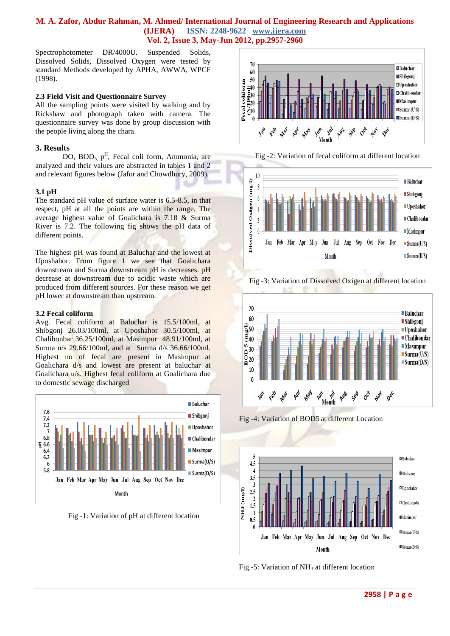Spectrophotometer DR/4000U. Suspended Solids, Dissolved Solids, Dissolved Oxygen were tested by standard Methods developed by APHA, AWWA, WPCF (1998).

## **2.3 Field Visit and Questionnaire Survey**

All the sampling points were visited by walking and by Rickshaw and photograph taken with camera. The questionnaire survey was done by group discussion with the people living along the chara.

# **3. Results**

DO, BOD<sub>5, p</sub><sup>H</sup>, Fecal coli form, Ammonia, are analyzed and their values are abstracted in tables 1 and 2 and relevant figures below (Jafor and Chowdhury, 2009).

## **3.1 pH**

The standard pH value of surface water is 6.5-8.5, in that respect, pH at all the points are within the range. The average highest value of Goalichara is 7.18 & Surma River is 7.2. The following fig shows the pH data of different points.

The highest pH was found at Baluchar and the lowest at Uposhahor. From figure 1 we see that Goalichara downstream and Surma downstream pH is decreases. pH decrease at downstream due to acidic waste which are produced from different sources. For these reason we get pH lower at downstream than upstream.

## **3.2 Fecal coliform**

Avg. Fecal coliform at Baluchar is 15.5/100ml, at Shibgonj 26.03/100ml, at Uposhahor 30.5/100ml, at Chalibonbar 36.25/100ml, at Masimpur 48.91/100ml, at Surma u/s 29.66/100ml, and at Surma d/s 36.66/100ml. Highest no of fecal are present in Masimpur at Goalichara d/s and lowest are present at baluchar at Goalichara u/s. Highest fecal coliform at Goalichara due to domestic sewage discharged



Fig -1: Variation of pH at different location



Fig -2: Variation of fecal coliform at different location



Fig -3: Variation of Dissolved Oxigen at different location



Fig -4: Variation of BOD5 at different Location



Fig -5: Variation of NH<sub>3</sub> at different location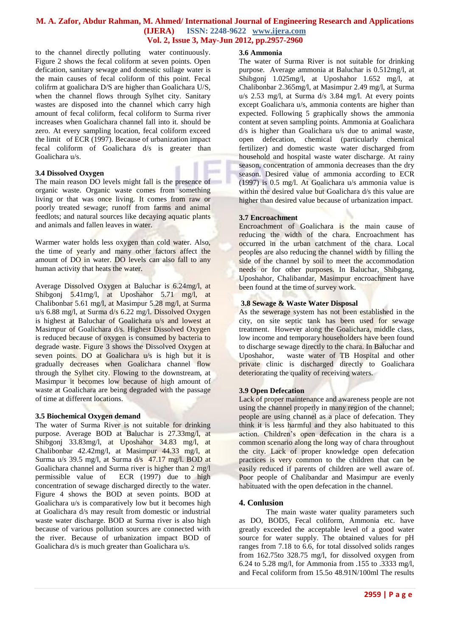to the channel directly polluting water continuously. Figure 2 shows the fecal coliform at seven points. Open defication, sanitary sewage and domestic sullage water is the main causes of fecal coliform of this point. Fecal colifrm at goalichara D/S are higher than Goalichara U/S, when the channel flows through Sylhet city. Sanitary wastes are disposed into the channel which carry high amount of fecal coliform, fecal coliform to Surma river increases when Goalichara channel fall into it. should be zero. At every sampling location, fecal coliform exceed the limit of ECR (1997). Because of urbanization impact fecal coliform of Goalichara d/s is greater than Goalichara u/s.

#### **3.4 Dissolved Oxygen**

The main reason DO levels might fall is the presence of organic waste. Organic waste comes from something living or that was once living. It comes from raw or poorly treated sewage; runoff from farms and animal feedlots; and natural sources like decaying aquatic plants and animals and fallen leaves in water.

Warmer water holds less oxygen than cold water. Also, the time of yearly and many other factors affect the amount of DO in water. DO levels can also fall to any human activity that heats the water.

Average Dissolved Oxygen at Baluchar is 6.24mg/l, at Shibgonj 5.41mg/l, at Uposhahor 5.71 mg/l, at Chalibonbar 5.61 mg/l, at Masimpur 5.28 mg/l, at Surma u/s 6.88 mg/l, at Surma d/s 6.22 mg/l. Dissolved Oxygen is highest at Baluchar of Goalichara u/s and lowest at Masimpur of Goalichara d/s. Highest Dissolved Oxygen is reduced because of oxygen is consumed by bacteria to degrade waste. Figure 3 shows the Dissolved Oxygen at seven points. DO at Goalichara u/s is high but it is gradually decreases when Goalichara channel flow through the Sylhet city. Flowing to the downstream, at Masimpur it becomes low because of high amount of waste at Goalichara are being degraded with the passage of time at different locations.

#### **3.5 Biochemical Oxygen demand**

The water of Surma River is not suitable for drinking purpose. Average BOD at Baluchar is 27.33mg/l, at Shibgonj 33.83mg/l, at Uposhahor 34.83 mg/l, at Chalibonbar 42.42mg/l, at Masimpur 44.33 mg/l, at Surma u/s 39.5 mg/l, at Surma d/s 47.17 mg/l. BOD at Goalichara channel and Surma river is higher than 2 mg/l permissible value of ECR (1997) due to high concentration of sewage discharged directly to the water. Figure 4 shows the BOD at seven points. BOD at Goalichara u/s is comparatively low but it becomes high at Goalichara d/s may result from domestic or industrial waste water discharge. BOD at Surma river is also high because of various pollution sources are connected with the river. Because of urbanization impact BOD of Goalichara d/s is much greater than Goalichara u/s.

#### **3.6 Ammonia**

The water of Surma River is not suitable for drinking purpose. Average ammonia at Baluchar is 0.512mg/l, at Shibgonj 1.025mg/l, at Uposhahor 1.652 mg/l, at Chalibonbar 2.365mg/l, at Masimpur 2.49 mg/l, at Surma u/s 2.53 mg/l, at Surma d/s 3.84 mg/l. At every points except Goalichara u/s, ammonia contents are higher than expected. Following 5 graphically shows the ammonia content at seven sampling points. Ammonia at Goalichara d/s is higher than Goalichara u/s due to animal waste, open defecation, chemical (particularly chemical fertilizer) and domestic waste water discharged from household and hospital waste water discharge. At rainy season, concentration of ammonia decreases than the dry season. Desired value of ammonia according to ECR (1997) is 0.5 mg/l. At Goalichara u/s ammonia value is within the desired value but Goalichara d/s this value are higher than desired value because of urbanization impact.

#### **3.7 Encroachment**

Encroachment of Goalichara is the main cause of reducing the width of the chara. Encroachment has occurred in the urban catchment of the chara. Local peoples are also reducing the channel width by filling the side of the channel by soil to meet the accommodation needs or for other purposes. In Baluchar, Shibgang, Uposhahor, Chalibandar, Masimpur encroachment have been found at the time of survey work.

#### **3.8 Sewage & Waste Water Disposal**

As the sewerage system has not been established in the city, on site septic tank has been used for sewage treatment. However along the Goalichara, middle class, low income and temporary householders have been found to discharge sewage directly to the chara. In Baluchar and Uposhahor, waste water of TB Hospital and other private clinic is discharged directly to Goalichara deteriorating the quality of receiving waters.

#### **3.9 Open Defecation**

Lack of proper maintenance and awareness people are not using the channel properly in many region of the channel; people are using channel as a place of defecation. They think it is less harmful and they also habituated to this action. Children's open defecation in the chara is a common scenario along the long way of chara throughout the city. Lack of proper knowledge open defecation practices is very common to the children that can be easily reduced if parents of children are well aware of. Poor people of Chalibandar and Masimpur are evenly habituated with the open defecation in the channel.

#### **4. Conlusion**

The main waste water quality parameters such as DO, BOD5, Fecal coliform, Ammonia etc. have greatly exceeded the acceptable level of a good water source for water supply. The obtained values for pH ranges from 7.18 to 6.6, for total dissolved solids ranges from 162.75to 328.75 mg/l, for dissolved oxygen from 6.24 to 5.28 mg/l, for Ammonia from .155 to .3333 mg/l, and Fecal coliform from 15.5o 48.91N/100ml The results